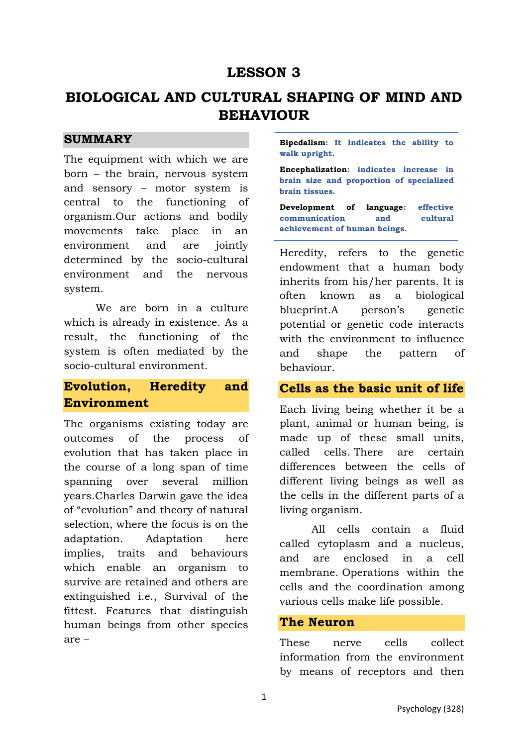# **LESSON 3**

# **BIOLOGICAL AND CULTURAL SHAPING OF MIND AND BEHAVIOUR**

#### **SUMMARY**

The equipment with which we are born – the brain, nervous system and sensory – motor system is central to the functioning of organism.Our actions and bodily movements take place in an environment and are jointly determined by the socio-cultural environment and the nervous system.

We are born in a culture which is already in existence. As a result, the functioning of the system is often mediated by the socio-cultural environment.

### **Evolution, Heredity and Environment**

The organisms existing today are outcomes of the process of evolution that has taken place in the course of a long span of time spanning over several million years.Charles Darwin gave the idea of "evolution" and theory of natural selection, where the focus is on the adaptation. Adaptation here implies, traits and behaviours which enable an organism to survive are retained and others are extinguished i.e., Survival of the fittest. Features that distinguish human beings from other species are –

**Bipedalism: It indicates the ability to walk upright.** 

**Encephalization: indicates increase in brain size and proportion of specialized brain tissues.** 

**Development of language: effective communication and cultural achievement of human beings.** 

Heredity, refers to the genetic endowment that a human body inherits from his/her parents. It is often known as a biological blueprint.A person's genetic potential or genetic code interacts with the environment to influence and shape the pattern of behaviour.

#### **Cells as the basic unit of life**

Each living being whether it be a plant, animal or human being, is made up of these small units, called cells. There are certain differences between the cells of different living beings as well as the cells in the different parts of a living organism.

All cells contain a fluid called cytoplasm and a nucleus, and are enclosed in a cell membrane. Operations within the cells and the coordination among various cells make life possible.

#### **The Neuron**

These nerve cells collect information from the environment by means of receptors and then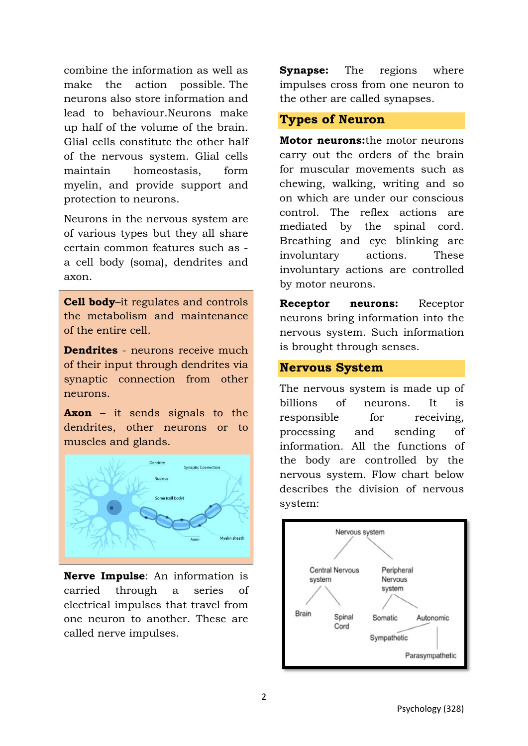combine the information as well as make the action possible. The neurons also store information and lead to behaviour.Neurons make up half of the volume of the brain. Glial cells constitute the other half of the nervous system. Glial cells maintain homeostasis, form myelin, and provide support and protection to neurons.

Neurons in the nervous system are of various types but they all share certain common features such as a cell body (soma), dendrites and axon.

**Cell body**–it regulates and controls the metabolism and maintenance of the entire cell.

**Dendrites** - neurons receive much of their input through dendrites via synaptic connection from other neurons.

**Axon** – it sends signals to the dendrites, other neurons or to muscles and glands.



**Nerve Impulse**: An information is carried through a series of electrical impulses that travel from one neuron to another. These are called nerve impulses.

**Synapse:** The regions where impulses cross from one neuron to the other are called synapses.

#### **Types of Neuron**

**Motor neurons:**the motor neurons carry out the orders of the brain for muscular movements such as chewing, walking, writing and so on which are under our conscious control. The reflex actions are mediated by the spinal cord. Breathing and eye blinking are involuntary actions. These involuntary actions are controlled by motor neurons.

**Receptor neurons:** Receptor neurons bring information into the nervous system. Such information is brought through senses.

#### **Nervous System**

The nervous system is made up of billions of neurons. It is responsible for receiving, processing and sending of information. All the functions of the body are controlled by the nervous system. Flow chart below describes the division of nervous system:

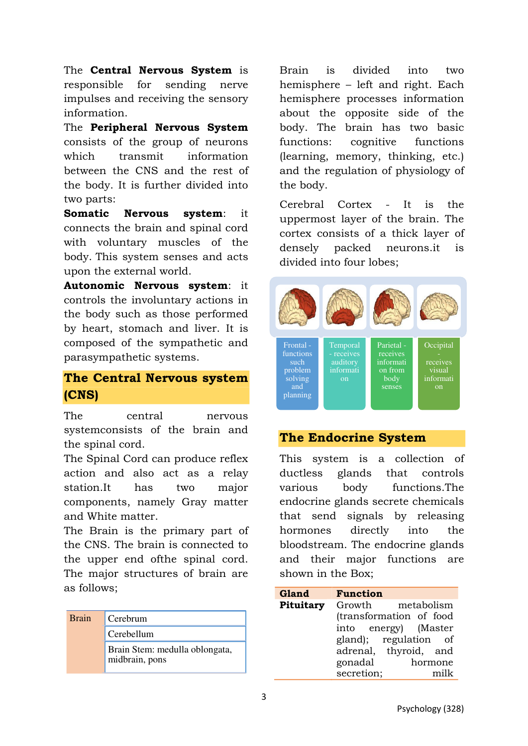The **Central Nervous System** is responsible for sending nerve impulses and receiving the sensory information.

The **Peripheral Nervous System** consists of the group of neurons which transmit information between the CNS and the rest of the body. It is further divided into two parts:

**Somatic Nervous system**: it connects the brain and spinal cord with voluntary muscles of the body. This system senses and acts upon the external world.

**Autonomic Nervous system**: it controls the involuntary actions in the body such as those performed by heart, stomach and liver. It is composed of the sympathetic and parasympathetic systems.

## **The Central Nervous system (CNS)**

The central nervous systemconsists of the brain and the spinal cord.

The Spinal Cord can produce reflex action and also act as a relay station.It has two major components, namely Gray matter and White matter.

The Brain is the primary part of the CNS. The brain is connected to the upper end ofthe spinal cord. The major structures of brain are as follows;

| <b>Brain</b> | Cerebrum                                         |
|--------------|--------------------------------------------------|
|              | Cerebellum                                       |
|              | Brain Stem: medulla oblongata,<br>midbrain, pons |

Brain is divided into two hemisphere – left and right. Each hemisphere processes information about the opposite side of the body. The brain has two basic functions: cognitive functions (learning, memory, thinking, etc.) and the regulation of physiology of the body.

Cerebral Cortex - It is the uppermost layer of the brain. The cortex consists of a thick layer of densely packed neurons.it is divided into four lobes;

| Frontal -<br>functions<br>such<br>problem<br>solving<br>and<br>planning | Temporal<br>$-$ receives<br>auditory<br>informati<br>on | Parietal -<br>receives<br>informati<br>on from<br>body<br>senses | Occipital<br>receives<br>visual<br>informati<br>$_{\rm on}$ |
|-------------------------------------------------------------------------|---------------------------------------------------------|------------------------------------------------------------------|-------------------------------------------------------------|

### **The Endocrine System**

This system is a collection of ductless glands that controls various body functions.The endocrine glands secrete chemicals that send signals by releasing hormones directly into the bloodstream. The endocrine glands and their major functions are shown in the Box;

| Gland     | <b>Function</b> |                         |
|-----------|-----------------|-------------------------|
| Pituitary |                 | Growth metabolism       |
|           |                 | (transformation of food |
|           |                 | into energy) (Master    |
|           |                 | gland); regulation of   |
|           |                 | adrenal, thyroid, and   |
|           | gonadal         | hormone                 |
|           | secretion;      | milk                    |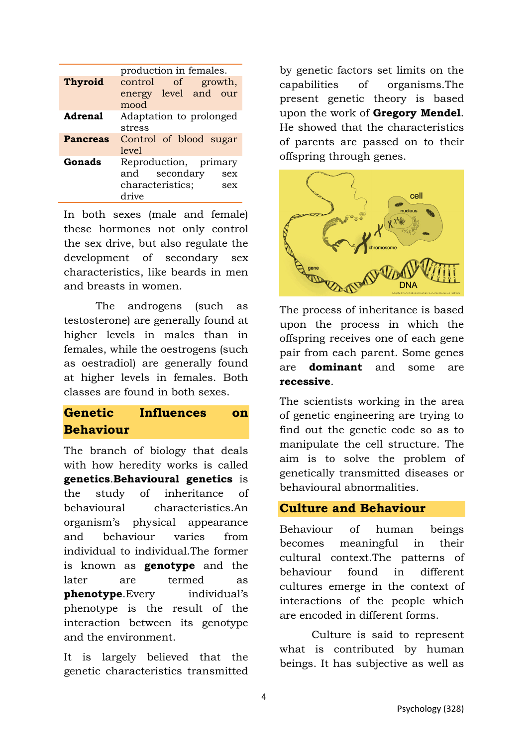|                 | production in females.                                                               |
|-----------------|--------------------------------------------------------------------------------------|
| <b>Thyroid</b>  | control<br>of<br>growth,<br>energy level and<br>our<br>mood                          |
| <b>Adrenal</b>  | Adaptation to prolonged<br>stress                                                    |
| <b>Pancreas</b> | Control of blood sugar<br>level                                                      |
| Gonads          | Reproduction, primary<br>secondary<br>and<br>sex<br>characteristics;<br>sex<br>drive |

In both sexes (male and female) these hormones not only control the sex drive, but also regulate the development of secondary sex characteristics, like beards in men and breasts in women.

The androgens (such as testosterone) are generally found at higher levels in males than in females, while the oestrogens (such as oestradiol) are generally found at higher levels in females. Both classes are found in both sexes.

# **Genetic Influences on Behaviour**

The branch of biology that deals with how heredity works is called **genetics**.**Behavioural genetics** is the study of inheritance of behavioural characteristics.An organism's physical appearance and behaviour varies from individual to individual.The former is known as **genotype** and the later are termed as **phenotype**.Every individual's phenotype is the result of the interaction between its genotype and the environment.

It is largely believed that the genetic characteristics transmitted

by genetic factors set limits on the capabilities of organisms.The present genetic theory is based upon the work of **Gregory Mendel**. He showed that the characteristics of parents are passed on to their offspring through genes.



The process of inheritance is based upon the process in which the offspring receives one of each gene pair from each parent. Some genes are **dominant** and some are **recessive**.

The scientists working in the area of genetic engineering are trying to find out the genetic code so as to manipulate the cell structure. The aim is to solve the problem of genetically transmitted diseases or behavioural abnormalities.

### **Culture and Behaviour**

Behaviour of human beings becomes meaningful in their cultural context.The patterns of behaviour found in different cultures emerge in the context of interactions of the people which are encoded in different forms.

Culture is said to represent what is contributed by human beings. It has subjective as well as